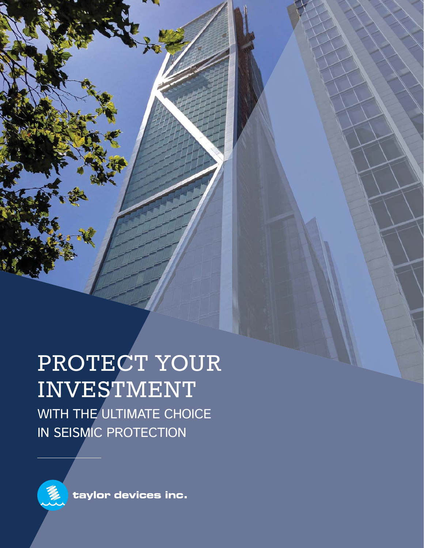PROTECT YOUR INVESTMENT WITH THE ULTIMATE CHOICE IN SEISMIC PROTECTION



Up.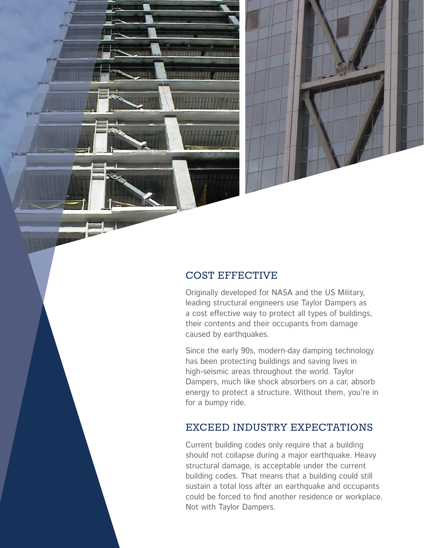

Originally developed for NASA and the US Military, leading structural engineers use Taylor Dampers as a cost effective way to protect all types of buildings, their contents and their occupants from damage caused by earthquakes.

Since the early 90s, modern-day damping technology has been protecting buildings and saving lives in high-seismic areas throughout the world. Taylor Dampers, much like shock absorbers on a car, absorb energy to protect a structure. Without them, you're in for a bumpy ride.

## EXCEED INDUSTRY EXPECTATIONS

Current building codes only require that a building should not collapse during a major earthquake. Heavy structural damage, is acceptable under the current building codes. That means that a building could still sustain a total loss after an earthquake and occupants could be forced to find another residence or workplace. Not with Taylor Dampers.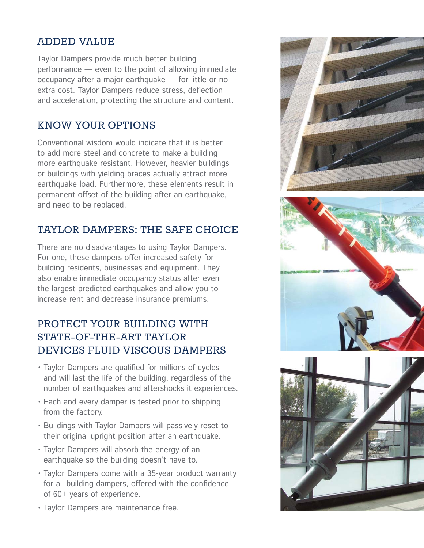## ADDED VALUE

Taylor Dampers provide much better building performance — even to the point of allowing immediate occupancy after a major earthquake — for little or no extra cost. Taylor Dampers reduce stress, deflection and acceleration, protecting the structure and content.

#### KNOW YOUR OPTIONS

Conventional wisdom would indicate that it is better to add more steel and concrete to make a building more earthquake resistant. However, heavier buildings or buildings with yielding braces actually attract more earthquake load. Furthermore, these elements result in permanent offset of the building after an earthquake, and need to be replaced.

# TAYLOR DAMPERS: THE SAFE CHOICE

There are no disadvantages to using Taylor Dampers. For one, these dampers offer increased safety for building residents, businesses and equipment. They also enable immediate occupancy status after even the largest predicted earthquakes and allow you to increase rent and decrease insurance premiums.

# PROTECT YOUR BUILDING WITH STATE-OF-THE-ART TAYLOR DEVICES FLUID VISCOUS DAMPERS

- Taylor Dampers are qualified for millions of cycles and will last the life of the building, regardless of the number of earthquakes and aftershocks it experiences.
- Each and every damper is tested prior to shipping from the factory.
- Buildings with Taylor Dampers will passively reset to their original upright position after an earthquake.
- Taylor Dampers will absorb the energy of an earthquake so the building doesn't have to.
- Taylor Dampers come with a 35-year product warranty for all building dampers, offered with the confidence of 60+ years of experience.
- Taylor Dampers are maintenance free.